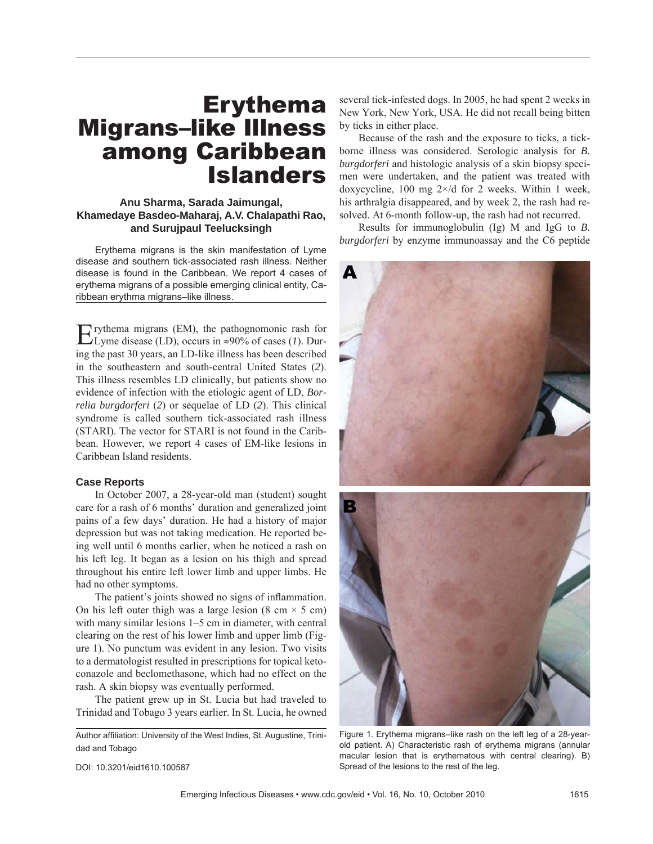# Erythema Migrans–like Illness among Caribbean Islanders

# **Anu Sharma, Sarada Jaimungal, Khamedaye Basdeo-Maharaj, A.V. Chalapathi Rao, and Surujpaul Teelucksingh**

Erythema migrans is the skin manifestation of Lyme disease and southern tick-associated rash illness. Neither disease is found in the Caribbean. We report 4 cases of erythema migrans of a possible emerging clinical entity, Caribbean erythma migrans–like illness.

Erythema migrans (EM), the pathognomonic rash for Lyme disease (LD), occurs in ≈90% of cases (*1*). During the past 30 years, an LD-like illness has been described in the southeastern and south-central United States (*2*). This illness resembles LD clinically, but patients show no evidence of infection with the etiologic agent of LD, *Borrelia burgdorferi* (*2*) or sequelae of LD (*2*). This clinical syndrome is called southern tick-associated rash illness (STARI). The vector for STARI is not found in the Caribbean. However, we report 4 cases of EM-like lesions in Caribbean Island residents.

### **Case Reports**

In October 2007, a 28-year-old man (student) sought care for a rash of 6 months' duration and generalized joint pains of a few days' duration. He had a history of major depression but was not taking medication. He reported being well until 6 months earlier, when he noticed a rash on his left leg. It began as a lesion on his thigh and spread throughout his entire left lower limb and upper limbs. He had no other symptoms.

The patient's joints showed no signs of inflammation. On his left outer thigh was a large lesion  $(8 \text{ cm} \times 5 \text{ cm})$ with many similar lesions 1–5 cm in diameter, with central clearing on the rest of his lower limb and upper limb (Figure 1). No punctum was evident in any lesion. Two visits to a dermatologist resulted in prescriptions for topical ketoconazole and beclomethasone, which had no effect on the rash. A skin biopsy was eventually performed.

The patient grew up in St. Lucia but had traveled to Trinidad and Tobago 3 years earlier. In St. Lucia, he owned

Author affiliation: University of the West Indies, St. Augustine, Trinidad and Tobago

several tick-infested dogs. In 2005, he had spent 2 weeks in New York, New York, USA. He did not recall being bitten by ticks in either place.

Because of the rash and the exposure to ticks, a tickborne illness was considered. Serologic analysis for *B. burgdorferi* and histologic analysis of a skin biopsy specimen were undertaken, and the patient was treated with doxycycline, 100 mg  $2 \times /d$  for 2 weeks. Within 1 week, his arthralgia disappeared, and by week 2, the rash had resolved. At 6-month follow-up, the rash had not recurred.

Results for immunoglobulin (Ig) M and IgG to *B. burgdorferi* by enzyme immunoassay and the C6 peptide



Figure 1. Erythema migrans–like rash on the left leg of a 28-yearold patient. A) Characteristic rash of erythema migrans (annular macular lesion that is erythematous with central clearing). B) Spread of the lesions to the rest of the leg.

DOI: 10.3201/eid1610.100587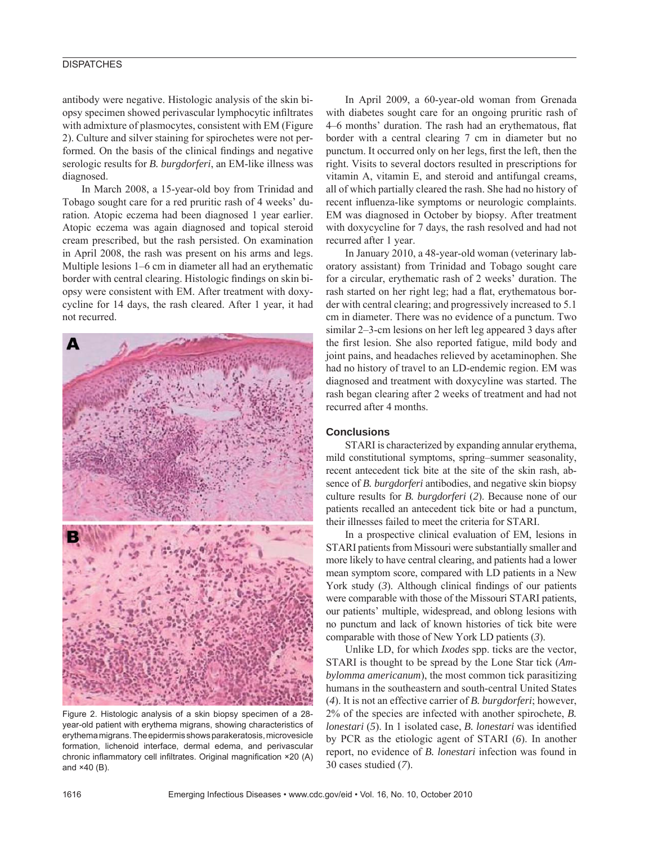## **DISPATCHES**

antibody were negative. Histologic analysis of the skin biopsy specimen showed perivascular lymphocytic infiltrates with admixture of plasmocytes, consistent with EM (Figure 2). Culture and silver staining for spirochetes were not performed. On the basis of the clinical findings and negative serologic results for *B. burgdorferi*, an EM-like illness was diagnosed.

In March 2008, a 15-year-old boy from Trinidad and Tobago sought care for a red pruritic rash of 4 weeks' duration. Atopic eczema had been diagnosed 1 year earlier. Atopic eczema was again diagnosed and topical steroid cream prescribed, but the rash persisted. On examination in April 2008, the rash was present on his arms and legs. Multiple lesions 1–6 cm in diameter all had an erythematic border with central clearing. Histologic findings on skin biopsy were consistent with EM. After treatment with doxycycline for 14 days, the rash cleared. After 1 year, it had not recurred.



Figure 2. Histologic analysis of a skin biopsy specimen of a 28 year-old patient with erythema migrans, showing characteristics of erythema migrans. The epidermis shows parakeratosis, microvesicle formation, lichenoid interface, dermal edema, and perivascular chronic inflammatory cell infiltrates. Original magnification ×20 (A) and ×40 (B).

In April 2009, a 60-year-old woman from Grenada with diabetes sought care for an ongoing pruritic rash of 4–6 months' duration. The rash had an erythematous, flat border with a central clearing 7 cm in diameter but no punctum. It occurred only on her legs, first the left, then the right. Visits to several doctors resulted in prescriptions for vitamin A, vitamin E, and steroid and antifungal creams, all of which partially cleared the rash. She had no history of recent influenza-like symptoms or neurologic complaints. EM was diagnosed in October by biopsy. After treatment with doxycycline for 7 days, the rash resolved and had not recurred after 1 year.

In January 2010, a 48-year-old woman (veterinary laboratory assistant) from Trinidad and Tobago sought care for a circular, erythematic rash of 2 weeks' duration. The rash started on her right leg; had a flat, erythematous border with central clearing; and progressively increased to 5.1 cm in diameter. There was no evidence of a punctum. Two similar 2–3-cm lesions on her left leg appeared 3 days after the first lesion. She also reported fatigue, mild body and joint pains, and headaches relieved by acetaminophen. She had no history of travel to an LD-endemic region. EM was diagnosed and treatment with doxycyline was started. The rash began clearing after 2 weeks of treatment and had not recurred after 4 months.

#### **Conclusions**

STARI is characterized by expanding annular erythema, mild constitutional symptoms, spring–summer seasonality, recent antecedent tick bite at the site of the skin rash, absence of *B. burgdorferi* antibodies, and negative skin biopsy culture results for *B. burgdorferi* (*2*). Because none of our patients recalled an antecedent tick bite or had a punctum, their illnesses failed to meet the criteria for STARI.

In a prospective clinical evaluation of EM, lesions in STARI patients from Missouri were substantially smaller and more likely to have central clearing, and patients had a lower mean symptom score, compared with LD patients in a New York study  $(3)$ . Although clinical findings of our patients were comparable with those of the Missouri STARI patients, our patients' multiple, widespread, and oblong lesions with no punctum and lack of known histories of tick bite were comparable with those of New York LD patients (*3*).

Unlike LD, for which *Ixodes* spp. ticks are the vector, STARI is thought to be spread by the Lone Star tick (*Ambylomma americanum*), the most common tick parasitizing humans in the southeastern and south-central United States (*4*). It is not an effective carrier of *B. burgdorferi*; however, 2% of the species are infected with another spirochete, *B. lonestari* (5). In 1 isolated case, *B. lonestari* was identified by PCR as the etiologic agent of STARI (*6*). In another report, no evidence of *B. lonestari* infection was found in 30 cases studied (*7*).